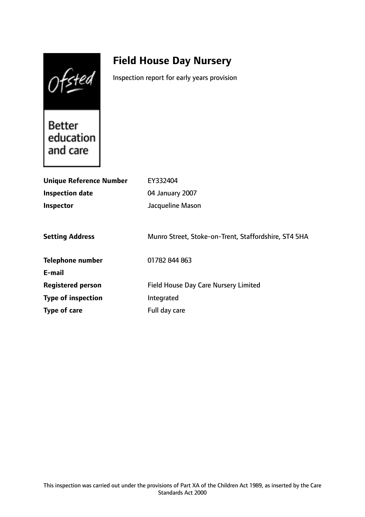Ofsted

# **Field House Day Nursery**

Inspection report for early years provision

Better education and care

| <b>Unique Reference Number</b> | EY332404                                             |
|--------------------------------|------------------------------------------------------|
| Inspection date                | 04 January 2007                                      |
| <b>Inspector</b>               | Jacqueline Mason                                     |
|                                |                                                      |
| <b>Setting Address</b>         | Munro Street, Stoke-on-Trent, Staffordshire, ST4 5HA |
| <b>Telephone number</b>        | 01782 844 863                                        |
| E-mail                         |                                                      |
| <b>Registered person</b>       | <b>Field House Day Care Nursery Limited</b>          |
| <b>Type of inspection</b>      | Integrated                                           |
| Type of care                   | Full day care                                        |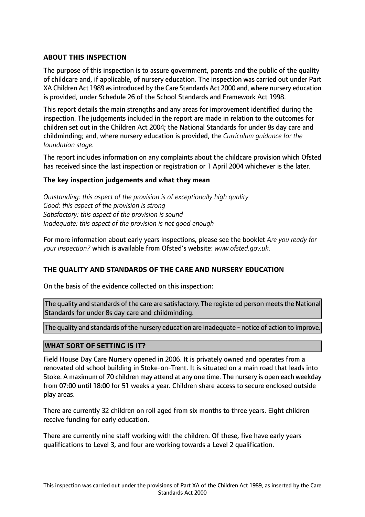### **ABOUT THIS INSPECTION**

The purpose of this inspection is to assure government, parents and the public of the quality of childcare and, if applicable, of nursery education. The inspection was carried out under Part XA Children Act 1989 asintroduced by the Care Standards Act 2000 and, where nursery education is provided, under Schedule 26 of the School Standards and Framework Act 1998.

This report details the main strengths and any areas for improvement identified during the inspection. The judgements included in the report are made in relation to the outcomes for children set out in the Children Act 2004; the National Standards for under 8s day care and childminding; and, where nursery education is provided, the *Curriculum guidance for the foundation stage.*

The report includes information on any complaints about the childcare provision which Ofsted has received since the last inspection or registration or 1 April 2004 whichever is the later.

#### **The key inspection judgements and what they mean**

*Outstanding: this aspect of the provision is of exceptionally high quality Good: this aspect of the provision is strong Satisfactory: this aspect of the provision is sound Inadequate: this aspect of the provision is not good enough*

For more information about early years inspections, please see the booklet *Are you ready for your inspection?* which is available from Ofsted's website: *www.ofsted.gov.uk.*

#### **THE QUALITY AND STANDARDS OF THE CARE AND NURSERY EDUCATION**

On the basis of the evidence collected on this inspection:

The quality and standards of the care are satisfactory. The registered person meets the National Standards for under 8s day care and childminding.

The quality and standards of the nursery education are inadequate - notice of action to improve.

#### **WHAT SORT OF SETTING IS IT?**

Field House Day Care Nursery opened in 2006. It is privately owned and operates from a renovated old school building in Stoke-on-Trent. It is situated on a main road that leads into Stoke. A maximum of 70 children may attend at any one time. The nursery is open each weekday from 07:00 until 18:00 for 51 weeks a year. Children share access to secure enclosed outside play areas.

There are currently 32 children on roll aged from six months to three years. Eight children receive funding for early education.

There are currently nine staff working with the children. Of these, five have early years qualifications to Level 3, and four are working towards a Level 2 qualification.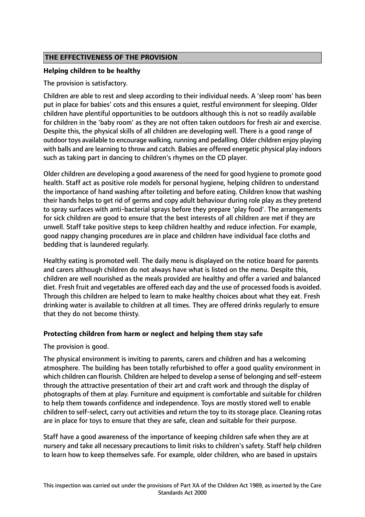### **THE EFFECTIVENESS OF THE PROVISION**

#### **Helping children to be healthy**

The provision is satisfactory.

Children are able to rest and sleep according to their individual needs. A 'sleep room' has been put in place for babies' cots and this ensures a quiet, restful environment for sleeping. Older children have plentiful opportunities to be outdoors although this is not so readily available for children in the 'baby room' as they are not often taken outdoors for fresh air and exercise. Despite this, the physical skills of all children are developing well. There is a good range of outdoor toys available to encourage walking, running and pedalling. Older children enjoy playing with balls and are learning to throw and catch. Babies are offered energetic physical play indoors such as taking part in dancing to children's rhymes on the CD player.

Older children are developing a good awareness of the need for good hygiene to promote good health. Staff act as positive role models for personal hygiene, helping children to understand the importance of hand washing after toileting and before eating. Children know that washing their hands helps to get rid of germs and copy adult behaviour during role play as they pretend to spray surfaces with anti-bacterial sprays before they prepare 'play food'. The arrangements for sick children are good to ensure that the best interests of all children are met if they are unwell. Staff take positive steps to keep children healthy and reduce infection. For example, good nappy changing procedures are in place and children have individual face cloths and bedding that is laundered regularly.

Healthy eating is promoted well. The daily menu is displayed on the notice board for parents and carers although children do not always have what is listed on the menu. Despite this, children are well nourished as the meals provided are healthy and offer a varied and balanced diet. Fresh fruit and vegetables are offered each day and the use of processed foods is avoided. Through this children are helped to learn to make healthy choices about what they eat. Fresh drinking water is available to children at all times. They are offered drinks regularly to ensure that they do not become thirsty.

#### **Protecting children from harm or neglect and helping them stay safe**

The provision is good.

The physical environment is inviting to parents, carers and children and has a welcoming atmosphere. The building has been totally refurbished to offer a good quality environment in which children can flourish. Children are helped to develop a sense of belonging and self-esteem through the attractive presentation of their art and craft work and through the display of photographs of them at play. Furniture and equipment is comfortable and suitable for children to help them towards confidence and independence. Toys are mostly stored well to enable children to self-select, carry out activities and return the toy to its storage place. Cleaning rotas are in place for toys to ensure that they are safe, clean and suitable for their purpose.

Staff have a good awareness of the importance of keeping children safe when they are at nursery and take all necessary precautions to limit risks to children's safety. Staff help children to learn how to keep themselves safe. For example, older children, who are based in upstairs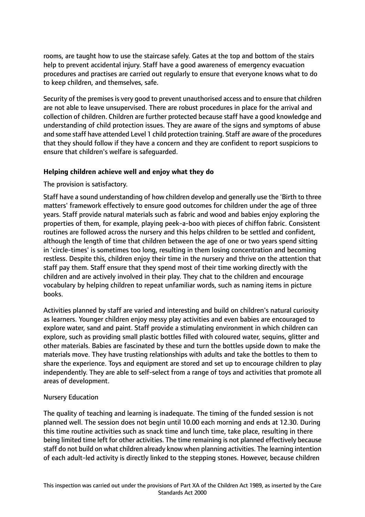rooms, are taught how to use the staircase safely. Gates at the top and bottom of the stairs help to prevent accidental injury. Staff have a good awareness of emergency evacuation procedures and practises are carried out regularly to ensure that everyone knows what to do to keep children, and themselves, safe.

Security of the premises is very good to prevent unauthorised access and to ensure that children are not able to leave unsupervised. There are robust procedures in place for the arrival and collection of children. Children are further protected because staff have a good knowledge and understanding of child protection issues. They are aware of the signs and symptoms of abuse and some staff have attended Level 1 child protection training. Staff are aware of the procedures that they should follow if they have a concern and they are confident to report suspicions to ensure that children's welfare is safeguarded.

#### **Helping children achieve well and enjoy what they do**

The provision is satisfactory.

Staff have a sound understanding of how children develop and generally use the 'Birth to three matters' framework effectively to ensure good outcomes for children under the age of three years. Staff provide natural materials such as fabric and wood and babies enjoy exploring the properties of them, for example, playing peek-a-boo with pieces of chiffon fabric. Consistent routines are followed across the nursery and this helps children to be settled and confident, although the length of time that children between the age of one or two years spend sitting in 'circle-times' is sometimes too long, resulting in them losing concentration and becoming restless. Despite this, children enjoy their time in the nursery and thrive on the attention that staff pay them. Staff ensure that they spend most of their time working directly with the children and are actively involved in their play. They chat to the children and encourage vocabulary by helping children to repeat unfamiliar words, such as naming items in picture books.

Activities planned by staff are varied and interesting and build on children's natural curiosity as learners. Younger children enjoy messy play activities and even babies are encouraged to explore water, sand and paint. Staff provide a stimulating environment in which children can explore, such as providing small plastic bottles filled with coloured water, sequins, glitter and other materials. Babies are fascinated by these and turn the bottles upside down to make the materials move. They have trusting relationships with adults and take the bottles to them to share the experience. Toys and equipment are stored and set up to encourage children to play independently. They are able to self-select from a range of toys and activities that promote all areas of development.

#### Nursery Education

The quality of teaching and learning is inadequate. The timing of the funded session is not planned well. The session does not begin until 10.00 each morning and ends at 12.30. During this time routine activities such as snack time and lunch time, take place, resulting in there being limited time left for other activities. The time remaining is not planned effectively because staff do not build on what children already know when planning activities. The learning intention of each adult-led activity is directly linked to the stepping stones. However, because children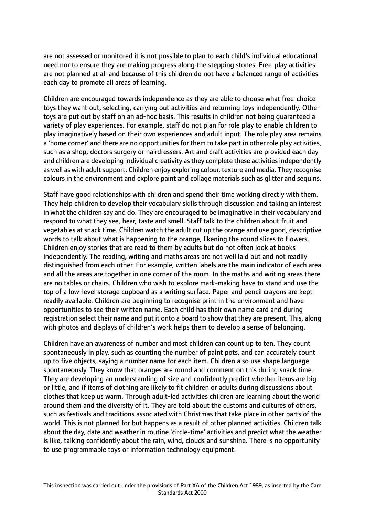are not assessed or monitored it is not possible to plan to each child's individual educational need nor to ensure they are making progress along the stepping stones. Free-play activities are not planned at all and because of this children do not have a balanced range of activities each day to promote all areas of learning.

Children are encouraged towards independence as they are able to choose what free-choice toys they want out, selecting, carrying out activities and returning toys independently. Other toys are put out by staff on an ad-hoc basis. This results in children not being guaranteed a variety of play experiences. For example, staff do not plan for role play to enable children to play imaginatively based on their own experiences and adult input. The role play area remains a 'home corner' and there are no opportunities for them to take part in other role play activities, such as a shop, doctors surgery or hairdressers. Art and craft activities are provided each day and children are developing individual creativity as they complete these activities independently as well as with adult support. Children enjoy exploring colour, texture and media. They recognise colours in the environment and explore paint and collage materials such as glitter and sequins.

Staff have good relationships with children and spend their time working directly with them. They help children to develop their vocabulary skills through discussion and taking an interest in what the children say and do. They are encouraged to be imaginative in their vocabulary and respond to what they see, hear, taste and smell. Staff talk to the children about fruit and vegetables at snack time. Children watch the adult cut up the orange and use good, descriptive words to talk about what is happening to the orange, likening the round slices to flowers. Children enjoy stories that are read to them by adults but do not often look at books independently. The reading, writing and maths areas are not well laid out and not readily distinguished from each other. For example, written labels are the main indicator of each area and all the areas are together in one corner of the room. In the maths and writing areas there are no tables or chairs. Children who wish to explore mark-making have to stand and use the top of a low-level storage cupboard as a writing surface. Paper and pencil crayons are kept readily available. Children are beginning to recognise print in the environment and have opportunities to see their written name. Each child has their own name card and during registration select their name and put it onto a board to show that they are present. This, along with photos and displays of children's work helps them to develop a sense of belonging.

Children have an awareness of number and most children can count up to ten. They count spontaneously in play, such as counting the number of paint pots, and can accurately count up to five objects, saying a number name for each item. Children also use shape language spontaneously. They know that oranges are round and comment on this during snack time. They are developing an understanding of size and confidently predict whether items are big or little, and if items of clothing are likely to fit children or adults during discussions about clothes that keep us warm. Through adult-led activities children are learning about the world around them and the diversity of it. They are told about the customs and cultures of others, such as festivals and traditions associated with Christmas that take place in other parts of the world. This is not planned for but happens as a result of other planned activities. Children talk about the day, date and weather in routine 'circle-time' activities and predict what the weather is like, talking confidently about the rain, wind, clouds and sunshine. There is no opportunity to use programmable toys or information technology equipment.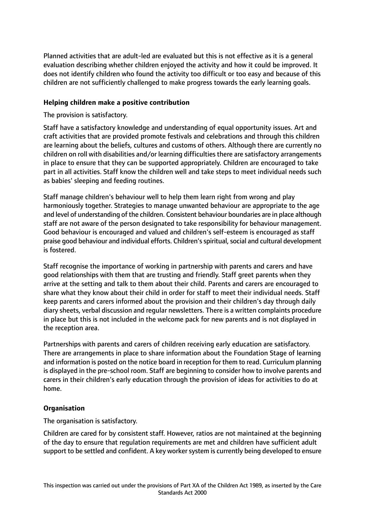Planned activities that are adult-led are evaluated but this is not effective as it is a general evaluation describing whether children enjoyed the activity and how it could be improved. It does not identify children who found the activity too difficult or too easy and because of this children are not sufficiently challenged to make progress towards the early learning goals.

#### **Helping children make a positive contribution**

The provision is satisfactory.

Staff have a satisfactory knowledge and understanding of equal opportunity issues. Art and craft activities that are provided promote festivals and celebrations and through this children are learning about the beliefs, cultures and customs of others. Although there are currently no children on roll with disabilities and/or learning difficulties there are satisfactory arrangements in place to ensure that they can be supported appropriately. Children are encouraged to take part in all activities. Staff know the children well and take steps to meet individual needs such as babies' sleeping and feeding routines.

Staff manage children's behaviour well to help them learn right from wrong and play harmoniously together. Strategies to manage unwanted behaviour are appropriate to the age and level of understanding of the children. Consistent behaviour boundaries are in place although staff are not aware of the person designated to take responsibility for behaviour management. Good behaviour is encouraged and valued and children's self-esteem is encouraged as staff praise good behaviour and individual efforts. Children's spiritual, social and cultural development is fostered.

Staff recognise the importance of working in partnership with parents and carers and have good relationships with them that are trusting and friendly. Staff greet parents when they arrive at the setting and talk to them about their child. Parents and carers are encouraged to share what they know about their child in order for staff to meet their individual needs. Staff keep parents and carers informed about the provision and their children's day through daily diary sheets, verbal discussion and regular newsletters. There is a written complaints procedure in place but this is not included in the welcome pack for new parents and is not displayed in the reception area.

Partnerships with parents and carers of children receiving early education are satisfactory. There are arrangements in place to share information about the Foundation Stage of learning and information is posted on the notice board in reception for them to read. Curriculum planning is displayed in the pre-school room. Staff are beginning to consider how to involve parents and carers in their children's early education through the provision of ideas for activities to do at home.

#### **Organisation**

The organisation is satisfactory.

Children are cared for by consistent staff. However, ratios are not maintained at the beginning of the day to ensure that regulation requirements are met and children have sufficient adult support to be settled and confident. A key worker system is currently being developed to ensure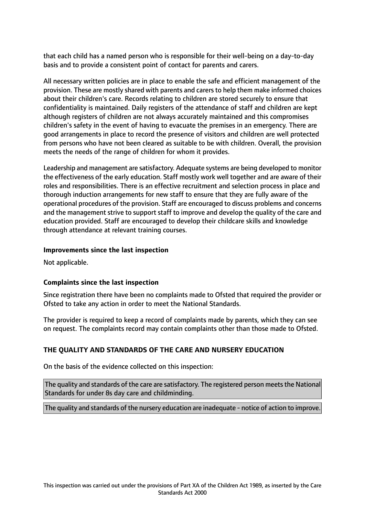that each child has a named person who is responsible for their well-being on a day-to-day basis and to provide a consistent point of contact for parents and carers.

All necessary written policies are in place to enable the safe and efficient management of the provision. These are mostly shared with parents and carers to help them make informed choices about their children's care. Records relating to children are stored securely to ensure that confidentiality is maintained. Daily registers of the attendance of staff and children are kept although registers of children are not always accurately maintained and this compromises children's safety in the event of having to evacuate the premises in an emergency. There are good arrangements in place to record the presence of visitors and children are well protected from persons who have not been cleared as suitable to be with children. Overall, the provision meets the needs of the range of children for whom it provides.

Leadership and management are satisfactory. Adequate systems are being developed to monitor the effectiveness of the early education. Staff mostly work well together and are aware of their roles and responsibilities. There is an effective recruitment and selection process in place and thorough induction arrangements for new staff to ensure that they are fully aware of the operational procedures of the provision. Staff are encouraged to discuss problems and concerns and the management strive to support staff to improve and develop the quality of the care and education provided. Staff are encouraged to develop their childcare skills and knowledge through attendance at relevant training courses.

#### **Improvements since the last inspection**

Not applicable.

## **Complaints since the last inspection**

Since registration there have been no complaints made to Ofsted that required the provider or Ofsted to take any action in order to meet the National Standards.

The provider is required to keep a record of complaints made by parents, which they can see on request. The complaints record may contain complaints other than those made to Ofsted.

## **THE QUALITY AND STANDARDS OF THE CARE AND NURSERY EDUCATION**

On the basis of the evidence collected on this inspection:

The quality and standards of the care are satisfactory. The registered person meets the National Standards for under 8s day care and childminding.

The quality and standards of the nursery education are inadequate - notice of action to improve.